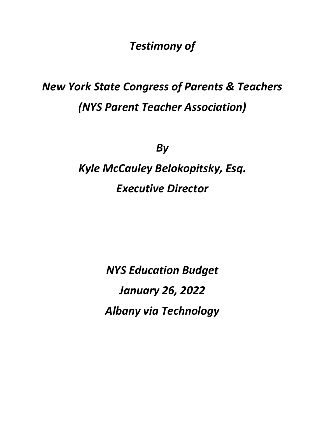*Testimony of*

# *New York State Congress of Parents & Teachers (NYS Parent Teacher Association)*

*By* 

# *Kyle McCauley Belokopitsky, Esq. Executive Director*

*NYS Education Budget January 26, 2022 Albany via Technology*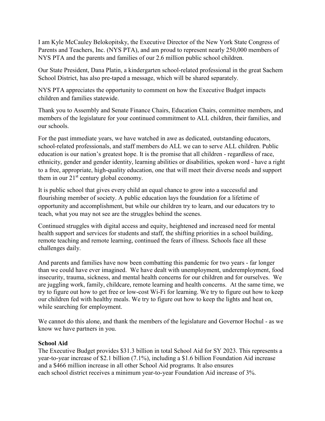I am Kyle McCauley Belokopitsky, the Executive Director of the New York State Congress of Parents and Teachers, Inc. (NYS PTA), and am proud to represent nearly 250,000 members of NYS PTA and the parents and families of our 2.6 million public school children.

Our State President, Dana Platin, a kindergarten school-related professional in the great Sachem School District, has also pre-taped a message, which will be shared separately.

NYS PTA appreciates the opportunity to comment on how the Executive Budget impacts children and families statewide.

Thank you to Assembly and Senate Finance Chairs, Education Chairs, committee members, and members of the legislature for your continued commitment to ALL children, their families, and our schools.

For the past immediate years, we have watched in awe as dedicated, outstanding educators, school-related professionals, and staff members do ALL we can to serve ALL children. Public education is our nation's greatest hope. It is the promise that all children - regardless of race, ethnicity, gender and gender identity, learning abilities or disabilities, spoken word - have a right to a free, appropriate, high-quality education, one that will meet their diverse needs and support them in our  $21<sup>st</sup>$  century global economy.

It is public school that gives every child an equal chance to grow into a successful and flourishing member of society. A public education lays the foundation for a lifetime of opportunity and accomplishment, but while our children try to learn, and our educators try to teach, what you may not see are the struggles behind the scenes.

Continued struggles with digital access and equity, heightened and increased need for mental health support and services for students and staff, the shifting priorities in a school building, remote teaching and remote learning, continued the fears of illness. Schools face all these challenges daily.

And parents and families have now been combatting this pandemic for two years - far longer than we could have ever imagined. We have dealt with unemployment, underemployment, food insecurity, trauma, sickness, and mental health concerns for our children and for ourselves. We are juggling work, family, childcare, remote learning and health concerns. At the same time, we try to figure out how to get free or low-cost Wi-Fi for learning. We try to figure out how to keep our children fed with healthy meals. We try to figure out how to keep the lights and heat on, while searching for employment.

We cannot do this alone, and thank the members of the legislature and Governor Hochul - as we know we have partners in you.

# **School Aid**

The Executive Budget provides \$31.3 billion in total School Aid for SY 2023. This represents a year-to-year increase of \$2.1 billion (7.1%), including a \$1.6 billion Foundation Aid increase and a \$466 million increase in all other School Aid programs. It also ensures each school district receives a minimum year-to-year Foundation Aid increase of 3%.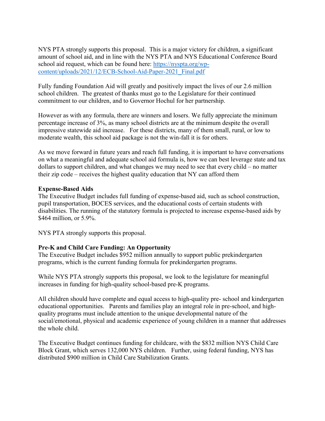NYS PTA strongly supports this proposal. This is a major victory for children, a significant amount of school aid, and in line with the NYS PTA and NYS Educational Conference Board school aid request, which can be found here: [https://nyspta.org/wp](https://nyspta.org/wp-content/uploads/2021/12/ECB-School-Aid-Paper-2021_Final.pdf)[content/uploads/2021/12/ECB-School-Aid-Paper-2021\\_Final.pdf](https://nyspta.org/wp-content/uploads/2021/12/ECB-School-Aid-Paper-2021_Final.pdf)

Fully funding Foundation Aid will greatly and positively impact the lives of our 2.6 million school children. The greatest of thanks must go to the Legislature for their continued commitment to our children, and to Governor Hochul for her partnership.

However as with any formula, there are winners and losers. We fully appreciate the minimum percentage increase of 3%, as many school districts are at the minimum despite the overall impressive statewide aid increase. For these districts, many of them small, rural, or low to moderate wealth, this school aid package is not the win-fall it is for others.

As we move forward in future years and reach full funding, it is important to have conversations on what a meaningful and adequate school aid formula is, how we can best leverage state and tax dollars to support children, and what changes we may need to see that every child – no matter their zip code – receives the highest quality education that NY can afford them

#### **Expense-Based Aids**

The Executive Budget includes full funding of expense-based aid, such as school construction, pupil transportation, BOCES services, and the educational costs of certain students with disabilities. The running of the statutory formula is projected to increase expense-based aids by \$464 million, or 5.9%.

NYS PTA strongly supports this proposal.

# **Pre-K and Child Care Funding: An Opportunity**

The Executive Budget includes \$952 million annually to support public prekindergarten programs, which is the current funding formula for prekindergarten programs.

While NYS PTA strongly supports this proposal, we look to the legislature for meaningful increases in funding for high-quality school-based pre-K programs.

All children should have complete and equal access to high‐quality pre‐ school and kindergarten educational opportunities. Parents and families play an integral role in pre-school, and highquality programs must include attention to the unique developmental nature of the social/emotional, physical and academic experience of young children in a manner that addresses the whole child.

The Executive Budget continues funding for childcare, with the \$832 million NYS Child Care Block Grant, which serves 132,000 NYS children. Further, using federal funding, NYS has distributed \$900 million in Child Care Stabilization Grants.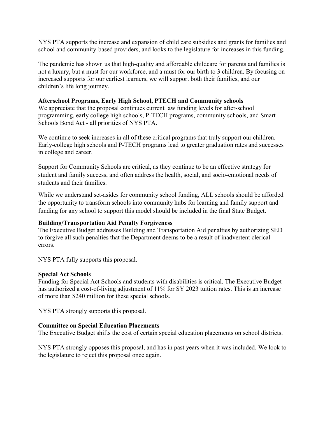NYS PTA supports the increase and expansion of child care subsidies and grants for families and school and community-based providers, and looks to the legislature for increases in this funding.

The pandemic has shown us that high-quality and affordable childcare for parents and families is not a luxury, but a must for our workforce, and a must for our birth to 3 children. By focusing on increased supports for our earliest learners, we will support both their families, and our children's life long journey.

#### **Afterschool Programs, Early High School, PTECH and Community schools**

We appreciate that the proposal continues current law funding levels for after-school programming, early college high schools, P-TECH programs, community schools, and Smart Schools Bond Act - all priorities of NYS PTA.

We continue to seek increases in all of these critical programs that truly support our children. Early-college high schools and P-TECH programs lead to greater graduation rates and successes in college and career.

Support for Community Schools are critical, as they continue to be an effective strategy for student and family success, and often address the health, social, and socio-emotional needs of students and their families.

While we understand set-asides for community school funding, ALL schools should be afforded the opportunity to transform schools into community hubs for learning and family support and funding for any school to support this model should be included in the final State Budget.

#### **Building/Transportation Aid Penalty Forgiveness**

The Executive Budget addresses Building and Transportation Aid penalties by authorizing SED to forgive all such penalties that the Department deems to be a result of inadvertent clerical errors.

NYS PTA fully supports this proposal.

#### **Special Act Schools**

Funding for Special Act Schools and students with disabilities is critical. The Executive Budget has authorized a cost-of-living adjustment of 11% for SY 2023 tuition rates. This is an increase of more than \$240 million for these special schools.

NYS PTA strongly supports this proposal.

#### **Committee on Special Education Placements**

The Executive Budget shifts the cost of certain special education placements on school districts.

NYS PTA strongly opposes this proposal, and has in past years when it was included. We look to the legislature to reject this proposal once again.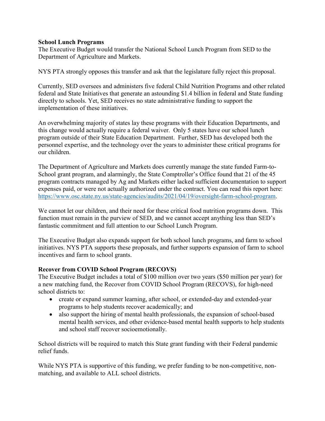#### **School Lunch Programs**

The Executive Budget would transfer the National School Lunch Program from SED to the Department of Agriculture and Markets.

NYS PTA strongly opposes this transfer and ask that the legislature fully reject this proposal.

Currently, SED oversees and administers five federal Child Nutrition Programs and other related federal and State Initiatives that generate an astounding \$1.4 billion in federal and State funding directly to schools. Yet, SED receives no state administrative funding to support the implementation of these initiatives.

An overwhelming majority of states lay these programs with their Education Departments, and this change would actually require a federal waiver. Only 5 states have our school lunch program outside of their State Education Department. Further, SED has developed both the personnel expertise, and the technology over the years to administer these critical programs for our children.

The Department of Agriculture and Markets does currently manage the state funded Farm-to-School grant program, and alarmingly, the State Comptroller's Office found that 21 of the 45 program contracts managed by Ag and Markets either lacked sufficient documentation to support expenses paid, or were not actually authorized under the contract. You can read this report here: [https://www.osc.state.ny.us/state-agencies/audits/2021/04/19/oversight-farm-school-program.](https://www.osc.state.ny.us/state-agencies/audits/2021/04/19/oversight-farm-school-program)

We cannot let our children, and their need for these critical food nutrition programs down. This function must remain in the purview of SED, and we cannot accept anything less than SED's fantastic commitment and full attention to our School Lunch Program.

The Executive Budget also expands support for both school lunch programs, and farm to school initiatives. NYS PTA supports these proposals, and further supports expansion of farm to school incentives and farm to school grants.

# **Recover from COVID School Program (RECOVS)**

The Executive Budget includes a total of \$100 million over two years (\$50 million per year) for a new matching fund, the Recover from COVID School Program (RECOVS), for high-need school districts to:

- create or expand summer learning, after school, or extended-day and extended-year programs to help students recover academically; and
- also support the hiring of mental health professionals, the expansion of school-based mental health services, and other evidence-based mental health supports to help students and school staff recover socioemotionally.

School districts will be required to match this State grant funding with their Federal pandemic relief funds.

While NYS PTA is supportive of this funding, we prefer funding to be non-competitive, nonmatching, and available to ALL school districts.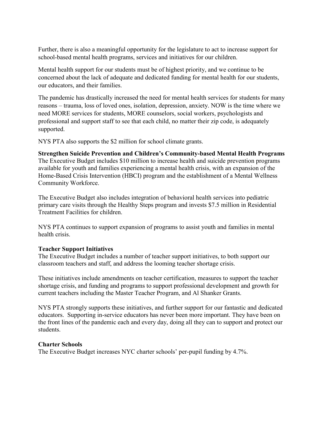Further, there is also a meaningful opportunity for the legislature to act to increase support for school-based mental health programs, services and initiatives for our children.

Mental health support for our students must be of highest priority, and we continue to be concerned about the lack of adequate and dedicated funding for mental health for our students, our educators, and their families.

The pandemic has drastically increased the need for mental health services for students for many reasons – trauma, loss of loved ones, isolation, depression, anxiety. NOW is the time where we need MORE services for students, MORE counselors, social workers, psychologists and professional and support staff to see that each child, no matter their zip code, is adequately supported.

NYS PTA also supports the \$2 million for school climate grants.

# **Strengthen Suicide Prevention and Children's Community-based Mental Health Programs**

The Executive Budget includes \$10 million to increase health and suicide prevention programs available for youth and families experiencing a mental health crisis, with an expansion of the Home-Based Crisis Intervention (HBCI) program and the establishment of a Mental Wellness Community Workforce.

The Executive Budget also includes integration of behavioral health services into pediatric primary care visits through the Healthy Steps program and invests \$7.5 million in Residential Treatment Facilities for children.

NYS PTA continues to support expansion of programs to assist youth and families in mental health crisis.

# **Teacher Support Initiatives**

The Executive Budget includes a number of teacher support initiatives, to both support our classroom teachers and staff, and address the looming teacher shortage crisis.

These initiatives include amendments on teacher certification, measures to support the teacher shortage crisis, and funding and programs to support professional development and growth for current teachers including the Master Teacher Program, and Al Shanker Grants.

NYS PTA strongly supports these initiatives, and further support for our fantastic and dedicated educators. Supporting in-service educators has never been more important. They have been on the front lines of the pandemic each and every day, doing all they can to support and protect our students.

#### **Charter Schools**

The Executive Budget increases NYC charter schools' per-pupil funding by 4.7%.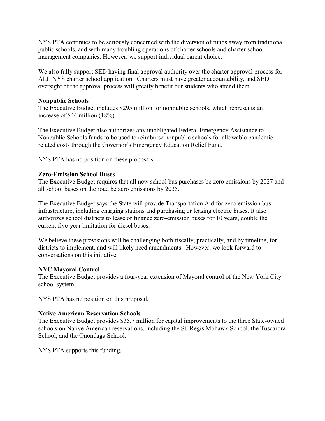NYS PTA continues to be seriously concerned with the diversion of funds away from traditional public schools, and with many troubling operations of charter schools and charter school management companies. However, we support individual parent choice.

We also fully support SED having final approval authority over the charter approval process for ALL NYS charter school application. Charters must have greater accountability, and SED oversight of the approval process will greatly benefit our students who attend them.

#### **Nonpublic Schools**

The Executive Budget includes \$295 million for nonpublic schools, which represents an increase of \$44 million (18%).

The Executive Budget also authorizes any unobligated Federal Emergency Assistance to Nonpublic Schools funds to be used to reimburse nonpublic schools for allowable pandemicrelated costs through the Governor's Emergency Education Relief Fund.

NYS PTA has no position on these proposals.

# **Zero-Emission School Buses**

The Executive Budget requires that all new school bus purchases be zero emissions by 2027 and all school buses on the road be zero emissions by 2035.

The Executive Budget says the State will provide Transportation Aid for zero-emission bus infrastructure, including charging stations and purchasing or leasing electric buses. It also authorizes school districts to lease or finance zero-emission buses for 10 years, double the current five-year limitation for diesel buses.

We believe these provisions will be challenging both fiscally, practically, and by timeline, for districts to implement, and will likely need amendments. However, we look forward to conversations on this initiative.

# **NYC Mayoral Control**

The Executive Budget provides a four-year extension of Mayoral control of the New York City school system.

NYS PTA has no position on this proposal.

#### **Native American Reservation Schools**

The Executive Budget provides \$35.7 million for capital improvements to the three State-owned schools on Native American reservations, including the St. Regis Mohawk School, the Tuscarora School, and the Onondaga School.

NYS PTA supports this funding.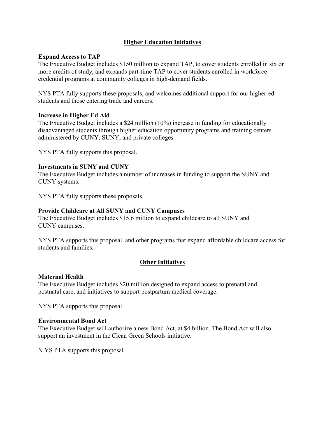# **Higher Education Initiatives**

## **Expand Access to TAP**

The Executive Budget includes \$150 million to expand TAP, to cover students enrolled in six or more credits of study, and expands part-time TAP to cover students enrolled in workforce credential programs at community colleges in high-demand fields.

NYS PTA fully supports these proposals, and welcomes additional support for our higher-ed students and those entering trade and careers.

#### **Increase in Higher Ed Aid**

The Executive Budget includes a \$24 million (10%) increase in funding for educationally disadvantaged students through higher education opportunity programs and training centers administered by CUNY, SUNY, and private colleges.

NYS PTA fully supports this proposal.

#### **Investments in SUNY and CUNY**

The Executive Budget includes a number of increases in funding to support the SUNY and CUNY systems.

NYS PTA fully supports these proposals.

#### **Provide Childcare at All SUNY and CUNY Campuses**

The Executive Budget includes \$15.6 million to expand childcare to all SUNY and CUNY campuses.

NYS PTA supports this proposal, and other programs that expand affordable childcare access for students and families.

# **Other Initiatives**

#### **Maternal Health**

The Executive Budget includes \$20 million designed to expand access to prenatal and postnatal care, and initiatives to support postpartum medical coverage.

NYS PTA supports this proposal.

#### **Environmental Bond Act**

The Executive Budget will authorize a new Bond Act, at \$4 billion. The Bond Act will also support an investment in the Clean Green Schools initiative.

N YS PTA supports this proposal.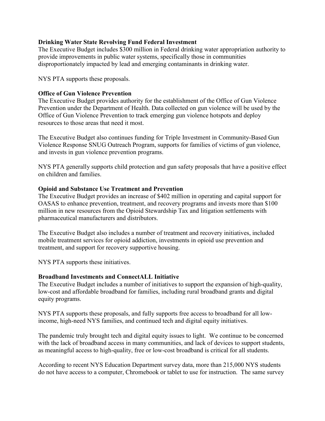## **Drinking Water State Revolving Fund Federal Investment**

The Executive Budget includes \$300 million in Federal drinking water appropriation authority to provide improvements in public water systems, specifically those in communities disproportionately impacted by lead and emerging contaminants in drinking water.

NYS PTA supports these proposals.

## **Office of Gun Violence Prevention**

The Executive Budget provides authority for the establishment of the Office of Gun Violence Prevention under the Department of Health. Data collected on gun violence will be used by the Office of Gun Violence Prevention to track emerging gun violence hotspots and deploy resources to those areas that need it most.

The Executive Budget also continues funding for Triple Investment in Community-Based Gun Violence Response SNUG Outreach Program, supports for families of victims of gun violence, and invests in gun violence prevention programs.

NYS PTA generally supports child protection and gun safety proposals that have a positive effect on children and families.

#### **Opioid and Substance Use Treatment and Prevention**

The Executive Budget provides an increase of \$402 million in operating and capital support for OASAS to enhance prevention, treatment, and recovery programs and invests more than \$100 million in new resources from the Opioid Stewardship Tax and litigation settlements with pharmaceutical manufacturers and distributors.

The Executive Budget also includes a number of treatment and recovery initiatives, included mobile treatment services for opioid addiction, investments in opioid use prevention and treatment, and support for recovery supportive housing.

NYS PTA supports these initiatives.

# **Broadband Investments and ConnectALL Initiative**

The Executive Budget includes a number of initiatives to support the expansion of high-quality, low-cost and affordable broadband for families, including rural broadband grants and digital equity programs.

NYS PTA supports these proposals, and fully supports free access to broadband for all lowincome, high-need NYS families, and continued tech and digital equity initiatives.

The pandemic truly brought tech and digital equity issues to light. We continue to be concerned with the lack of broadband access in many communities, and lack of devices to support students, as meaningful access to high-quality, free or low-cost broadband is critical for all students.

According to recent NYS Education Department survey data, more than 215,000 NYS students do not have access to a computer, Chromebook or tablet to use for instruction. The same survey